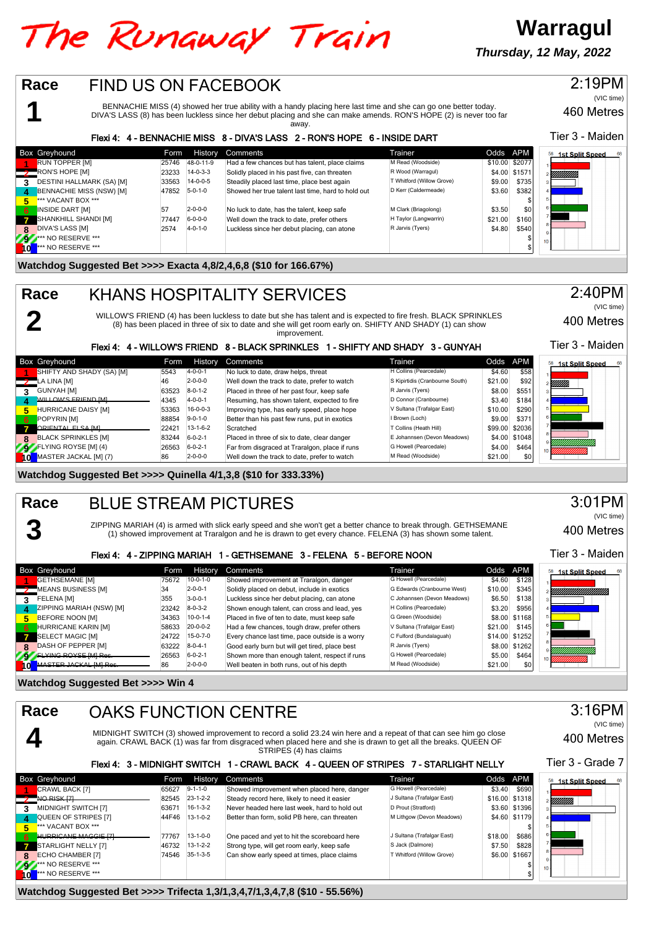## The Runaway Train

**Warragul Thursday, 12 May, 2022**

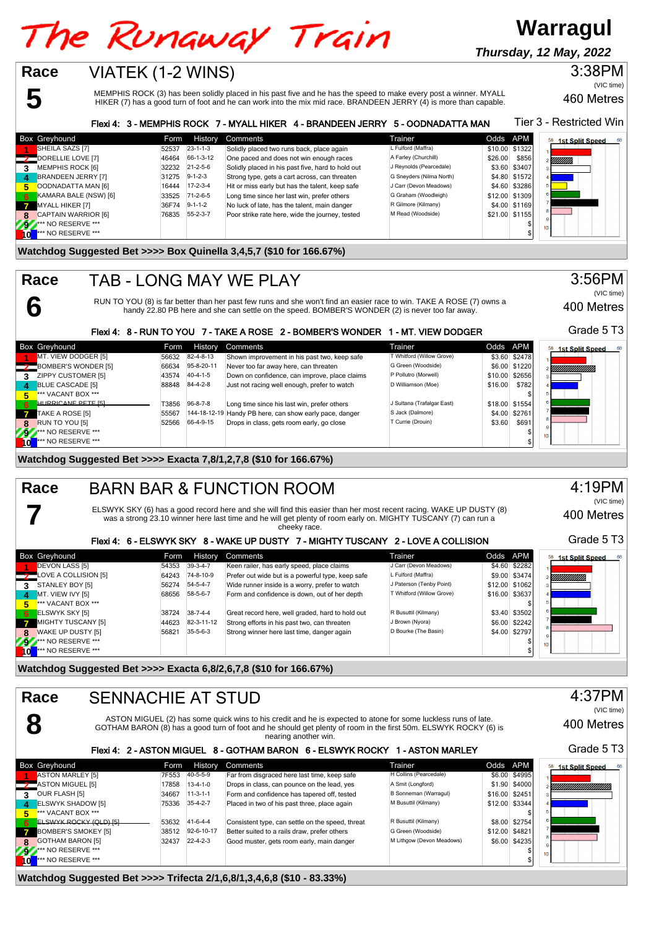# The Runaway Train

**Thursday, 12 May, 2022**

**Warragul**

## **5 Race**

**6**

**7**

### VIATEK (1-2 WINS)

MEMPHIS ROCK (3) has been solidly placed in his past five and he has the speed to make every post a winner. MYALL HIKER (7) has a good turn of foot and he can work into the mix mid race. BRANDEEN JERRY (4) is more than capable.

Tier 3 - Restricted Win Flexi 4: 3 - MEMPHIS ROCK 7 - MYALL HIKER 4 - BRANDEEN JERRY 5 - OODNADATTA MAN Box Greyhound **Form History Comments** Trainer Trainer Codds APM<br>**Example 2008** 1925-19 1938-1948 Trainer Comments Trainer Codds APM **Trainer** Codds APM 1926 58 1st Split Speed 11 SHEILA SAZS [7] 52537 23-1-1-3 Solidly placed two runs back, place again L Fulford (Maffra) \$10.00 \$1322<br>11 SHEILLE LOVE [7] 526.00 \$856 1-3-12 One paced and does not win enough races A Farley (Churchill) \$26.00 \$856 **2** DORELLIE LOVE [7] 46464 66-1-3-12 One paced and does not win enough races A Farley (Churchill) \$26.00 \$856<br>2232 21-2-5-6 Solidly placed in his past five, hard to hold out J Reynolds (Pearcedale) \$3.60 \$3407 Ø **32232** 31232 31-2-5-6 Solidly placed in his past five, hard to hold out J Reynolds (Pearcedale) 53.60 \$3407<br> **31275** 9-1-2-3 Strong type, gets a cart across, can threaten G Sneyders (Nilma North) \$4.80 \$1572 **4** BRANDEEN JERRY [7] 31275 9-1-2-3 Strong type, gets a cart across, can threaten G Sneyders (Nilma North) \$4.80 \$1572<br> **5** OODNADATTA MAN [6] 16444 17-2-3-4 Hit or miss early but has the talent, keep safe J Carr (Devon M **5** OODNADATTA MAN [6] 16444 17-2-3-4 Hit or miss early but has the talent, keep safe J Carr (Devon Meadows) \$4.60 \$3286 **6** KAMARA BALE (NSW) [6] 33525 71-2-6-5 Long time since her last win, prefer others G Graham (Woodleigh) \$12.00 \$1309 **7** MYALL HIKER [7] 36F74 9-1-1-2 No luck of late, has the talent, main danger R Gilmore (Kilmany) \$4.00 \$1169<br>CAPTAIN WARRIOR [6] 76835 55-2-3-7 Poor strike rate here, wide the journey, tested M Read (Woodside) \$21.00 \$11 **8** CAPTAIN WARRIOR [6] 76835 55-2-3-7 Poor strike rate here, wide the journey, tested M Read (Woodside) \$21.00 \$1155 **92.\*\*\*** NO RESERVE \*\*\* \$ **10** \*\*\* NO RESERVE \*\*\* \$ **Watchdog Suggested Bet >>>> Box Quinella 3,4,5,7 (\$10 for 166.67%)**

#### TAB - LONG MAY WE PLAY **Race**

RUN TO YOU (8) is far better than her past few runs and she won't find an easier race to win. TAKE A ROSE (7) owns a handy 22.80 PB here and she can settle on the speed. BOMBER'S WONDER (2) is never too far away.

### Flexi 4: 8 - RUN TO YOU 7 - TAKE A ROSE 2 - BOMBER'S WONDER 1 - MT. VIEW DODGER

|    | <b>Box Greyhound</b>    | Form  | History          | Comments                                                | Trainer                          | Odds APM |                | <b>1st Split Speed</b><br>68 |
|----|-------------------------|-------|------------------|---------------------------------------------------------|----------------------------------|----------|----------------|------------------------------|
|    | MT. VIEW DODGER [5]     | 56632 | 82-4-8-13        | Shown improvement in his past two, keep safe            | <b>F Whitford (Willow Grove)</b> |          | \$3.60 \$2478  |                              |
|    | BOMBER'S WONDER [5]     | 66634 | 95-8-20-11       | Never too far away here, can threaten                   | G Green (Woodside)               |          | \$6.00 \$1220  | YMMMMMM                      |
|    | ZIPPY CUSTOMER [5]      | 43574 | $40 - 4 - 1 - 5$ | Down on confidence, can improve, place claims           | P Pollutro (Morwell)             |          | \$10.00 \$2656 |                              |
|    | <b>BLUE CASCADE [5]</b> | 88848 | 84-4-2-8         | Just not racing well enough, prefer to watch            | D Williamson (Moe)               | \$16.00  | \$782          |                              |
|    | *** VACANT BOX ***      |       |                  |                                                         |                                  |          |                |                              |
| 6. | HURRICANE PETE (5)      | T3856 | $96 - 8 - 7 - 8$ | Long time since his last win, prefer others             | J Sultana (Trafalgar East)       |          | \$18.00 \$1554 |                              |
|    | TAKE A ROSE [5]         | 55567 |                  | 144-18-12-19 Handy PB here, can show early pace, danger | S Jack (Dalmore)                 |          | \$4.00 \$2761  |                              |
| 8. | RUN TO YOU [5]          | 52566 | 66-4-9-15        | Drops in class, gets room early, go close               | Currie (Drouin)                  | \$3.60   | \$691          |                              |
| 25 | *** NO RESERVE ***      |       |                  |                                                         |                                  |          |                | 10 <sub>1</sub>              |
| ۱o | *** NO RESERVE ***      |       |                  |                                                         |                                  |          |                |                              |

**Watchdog Suggested Bet >>>> Exacta 7,8/1,2,7,8 (\$10 for 166.67%)**

### BARN BAR & FUNCTION ROOM **Race**

ELSWYK SKY (6) has a good record here and she will find this easier than her most recent racing. WAKE UP DUSTY (8) was a strong 23.10 winner here last time and he will get plenty of room early on. MIGHTY TUSCANY (7) can run a cheeky race.

### Flexi 4: 6 - ELSWYK SKY 8 - WAKE UP DUSTY 7 - MIGHTY TUSCANY 2 - LOVE A COLLISION

|     | <b>Box Greyhound</b>          | Form  | History          | Comments                                          | Trainer                   | Odds APM |                | 58 1st Split Speed |
|-----|-------------------------------|-------|------------------|---------------------------------------------------|---------------------------|----------|----------------|--------------------|
|     | <b>DEVON LASS [5]</b>         | 54353 | $39-3-4-7$       | Keen railer, has early speed, place claims        | J Carr (Devon Meadows)    |          | \$4,60 \$2282  |                    |
|     | <b>D</b> LOVE A COLLISION [5] | 64243 | 74-8-10-9        | Prefer out wide but is a powerful type, keep safe | L Fulford (Maffra)        |          | \$9.00 \$3474  |                    |
| 3   | STANLEY BOY [5]               | 56274 | 54-5-4-7         | Wide runner inside is a worry, prefer to watch    | J Paterson (Tenby Point)  |          | \$12.00 \$1062 |                    |
| 4.  | MT. VIEW IVY [5]              | 68656 | 58-5-6-7         | Form and confidence is down, out of her depth     | T Whitford (Willow Grove) |          | \$16.00 \$3637 |                    |
| 5.  | *** VACANT BOX ***            |       |                  |                                                   |                           |          |                |                    |
| 67  | <b>ELSWYK SKY [5]</b>         | 38724 | $38 - 7 - 4 - 4$ | Great record here, well graded, hard to hold out  | R Busuttil (Kilmany)      |          | \$3.40 \$3502  |                    |
|     | MIGHTY TUSCANY [5]            | 44623 | 82-3-11-12       | Strong efforts in his past two, can threaten      | J Brown (Nyora)           |          | \$6.00 \$2242  |                    |
| 8   | <b>WAKE UP DUSTY [5]</b>      | 56821 | $35 - 5 - 6 - 3$ | Strong winner here last time, danger again        | D Bourke (The Basin)      |          | \$4.00 \$2797  |                    |
| 292 | <b>*** NO RESERVE ***</b>     |       |                  |                                                   |                           |          |                | 10 <sup>1</sup>    |
| ١o  | <b>*** NO RESERVE ***</b>     |       |                  |                                                   |                           |          |                |                    |

**Watchdog Suggested Bet >>>> Exacta 6,8/2,6,7,8 (\$10 for 166.67%)**

#### 4:37PM **Race** SENNACHIE AT STUD (VIC time) ASTON MIGUEL (2) has some quick wins to his credit and he is expected to atone for some luckless runs of late. **8** 400 Metres GOTHAM BARON (8) has a good turn of foot and he should get plenty of room in the first 50m. ELSWYK ROCKY (6) is nearing another win. Grade 5 T3 Flexi 4: 2 - ASTON MIGUEL 8 - GOTHAM BARON 6 - ELSWYK ROCKY 1 - ASTON MARLEY Box Greyhound **Form History Comments** Form History Comments Trainer Trainer Codds APM<br>**Form Trainer Trainer Codds APM** Trainer Trainer Form disgraced here last time, keep safe Historians (Pearcedale) 58 4et Split Speed 68 11 ASTON MARLEY [5] 7F553 40-5-5-9 Far from disgraced here last time, keep safe H Collins (Pearcedale) \$6.00 \$4995<br>ASTON MIGUEL [5] 1.90 \$4000 17858 13-4-1-0 Drops in class, can pounce on the lead, yes A Smit (Longford) \$ ASTON MIGUEL [5] 17858 13-4-1-0 Drops in class, can pounce on the lead, yes A Smit (Longford) \$1.90 \$4000<br>**2 3** OUR FLASH [5] 34667 11-3-1-1 Form and confidence has tapered off, tested B Sonneman (Warragul) \$16.00 \$245 OUR FLASH [5] 3660 34667 11-3-1-1 Form and confidence has tapered off, tested B Sonneman (Warragul) \$16.00 \$2451<br>ELSWYK SHADOW [5] 3542.00 \$3344 75336 35-4-2-7 Placed in two of his past three, place again M Busuttil (Kilma **4** ELSWYK SHADOW [5] **75336** 35-4-2-7 Placed in two of his past three, place again **M** Busuttil (Kilman) **EXALG 5** \*\*\* VACANT BOX \*\*\* \$ **61 ELSWYK ROCKY (QLD) [5] 53632** 41-6-4-4 Consistent type, can settle on the speed, threat R Busuttil (Kilmany) \$8.00 \$2754<br>BOMBER'S SMOKEY [5] 38512 92-6-10-17 Better suited to a rails draw, prefer others G Green (Woodsi **7** BOMBER'S SMOKEY [5] 38512 92-6-10-17 Better suited to a rails draw, prefer others G Green (Woodside) \$12.00 \$4821<br>COTHAM BARON [5] 32437 22-4-2-3 Good muster, gets room early, main danger Multhgow (Devon Meadows) \$6.00 **8** BOTHAM BARON [5] **32437** 22-4-2-3 **Good muster, gets room early, main danger** M Lithgow (Devon Meadows) \$6.000 \$6.00 \$1235

**9** \*\*\* NO RESERVE \*\*\* \$ **10** \*\*\* NO RESERVE \*\*\* \$

**Watchdog Suggested Bet >>>> Trifecta 2/1,6,8/1,3,4,6,8 (\$10 - 83.33%)**

3:56PM (VIC time)

400 Metres

Grade 5 T3

460 Metres

3:38PM

(VIC time)



4:19PM (VIC time)

400 Metres Grade 5 T3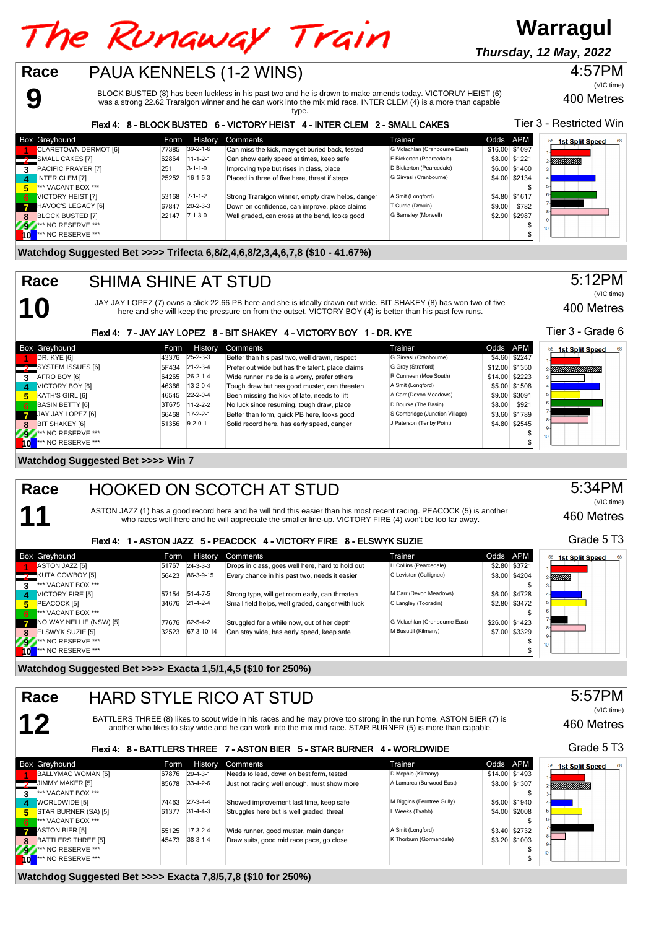## The Runaway Train

PAUA KENNELS (1-2 WINS)

**Thursday, 12 May, 2022**

**Warragul**

### 4:57PM

400 Metres (VIC time)

400 Metres

460 Metres

Grade 5 T3

460 Metres

Grade 5 T3

5:57PM

(VIC time)

5:34PM

(VIC time)

Tier 3 - Grade 6

5:12PM

(VIC time)

BLOCK BUSTED (8) has been luckless in his past two and he is drawn to make amends today. VICTORUY HEIST (6) was a strong 22.62 Traralgon winner and he can work into the mix mid race. INTER CLEM (4) is a more than capable

|     |                             |       |                  | type.                                                                      |                               |                |               |                              |
|-----|-----------------------------|-------|------------------|----------------------------------------------------------------------------|-------------------------------|----------------|---------------|------------------------------|
|     |                             |       |                  | Flexi 4: 8 - BLOCK BUSTED 6 - VICTORY HEIST 4 - INTER CLEM 2 - SMALL CAKES |                               |                |               | Tier 3 - Restricted Win      |
|     | Box Greyhound               | Form  | History          | Comments                                                                   | Trainer                       | Odds APM       |               | 68<br><b>1st Split Speed</b> |
|     | CLARETOWN DERMOT [6]        | 77385 | $39-2-1-6$       | Can miss the kick, may get buried back, tested                             | G Mclachlan (Cranbourne East) | \$16.00 \$1097 |               |                              |
|     | SMALL CAKES [7]             | 62864 | $11 - 1 - 2 - 1$ | Can show early speed at times, keep safe                                   | F Bickerton (Pearcedale)      |                | \$8.00 \$1221 | E <i>Millillilli</i>         |
|     | 3 PACIFIC PRAYER [7]        | 251   | $3 - 1 - 1 - 0$  | Improving type but rises in class, place                                   | D Bickerton (Pearcedale)      |                | \$6.00 \$1460 |                              |
| д   | <b>INTER CLEM [7]</b>       | 25252 | $16 - 1 - 5 - 3$ | Placed in three of five here, threat if steps                              | G Girvasi (Cranbourne)        |                | \$4.00 \$2134 |                              |
| 5.  | *** VACANT BOX ***          |       |                  |                                                                            |                               |                |               |                              |
| 6   | <b>VICTORY HEIST [7]</b>    | 53168 | $7 - 1 - 1 - 2$  | Strong Traralgon winner, empty draw helps, danger                          | A Smit (Longford)             |                | \$4.80 \$1617 |                              |
|     | HAVOC'S LEGACY [6]          | 67847 | $20 - 2 - 3 - 3$ | Down on confidence, can improve, place claims                              | T Currie (Drouin)             | \$9.00         | \$782         |                              |
|     | 8 BLOCK BUSTED [7]          | 22147 | $7 - 1 - 3 - 0$  | Well graded, can cross at the bend, looks good                             | G Barnsley (Morwell)          |                | \$2.90 \$2987 |                              |
|     | <b>9</b> *** NO RESERVE *** |       |                  |                                                                            |                               |                |               |                              |
| IοL | <b>*** NO RESERVE ***</b>   |       |                  |                                                                            |                               |                |               |                              |

**Watchdog Suggested Bet >>>> Trifecta 6,8/2,4,6,8/2,3,4,6,7,8 (\$10 - 41.67%)**

## SHIMA SHINE AT STUD

JAY JAY LOPEZ (7) owns a slick 22.66 PB here and she is ideally drawn out wide. BIT SHAKEY (8) has won two of five here and she will keep the pressure on from the outset. VICTORY BOY (4) is better than his past few runs.

### Flexi 4: 7 - JAY JAY LOPEZ 8 - BIT SHAKEY 4 - VICTORY BOY 1 - DR. KYE

**10** \*\*\* NO RESERVE \*\*\* \$

|      | <b>Box Greyhound</b>      | Form  | History          | Comments                                         | Trainer.                       | Odds APM |                | 1st Split Speed<br>68 |
|------|---------------------------|-------|------------------|--------------------------------------------------|--------------------------------|----------|----------------|-----------------------|
|      | DR. KYE [6]               | 43376 | $25 - 2 - 3 - 3$ | Better than his past two, well drawn, respect    | G Girvasi (Cranbourne)         |          | \$4.60 \$2247  |                       |
|      | SYSTEM ISSUES [6]         | 5F434 | $21 - 2 - 3 - 4$ | Prefer out wide but has the talent, place claims | G Gray (Stratford)             |          | \$12.00 \$1350 | <u>MMMMMMMM</u>       |
| 3    | AFRO BOY [6]              | 64265 | $26 - 2 - 1 - 4$ | Wide runner inside is a worry, prefer others     | R Cunneen (Moe South)          |          | \$14.00 \$2223 |                       |
| 4    | VICTORY BOY [6]           | 46366 | $13 - 2 - 0 - 4$ | Tough draw but has good muster, can threaten     | A Smit (Longford)              |          | \$5.00 \$1508  |                       |
| 5.   | KATH'S GIRL [6]           | 46545 | $22 - 2 - 0 - 4$ | Been missing the kick of late, needs to lift     | A Carr (Devon Meadows)         |          | \$9.00 \$3091  |                       |
| 6    | <b>BASIN BETTY [6]</b>    | 3T675 | $11 - 2 - 2 - 2$ | No luck since resuming, tough draw, place        | D Bourke (The Basin)           | \$8.00   | \$921          |                       |
|      | JAY JAY LOPEZ [6]         | 66468 | $17 - 2 - 2 - 1$ | Better than form, quick PB here, looks good      | S Combridge (Junction Village) |          | \$3.60 \$1789  |                       |
| 8    | BIT SHAKEY [6]            | 51356 | $9 - 2 - 0 - 1$  | Solid record here, has early speed, danger       | J Paterson (Tenby Point)       |          | \$4.80 \$2545  |                       |
| 22   | *** NO RESERVE ***        |       |                  |                                                  |                                |          |                | 10 <sup>1</sup>       |
| l ol | <b>*** NO RESERVE ***</b> |       |                  |                                                  |                                |          |                |                       |

### **Watchdog Suggested Bet >>>> Win 7**

**9**

**10**

**11**

**Race**

**Race**

#### HOOKED ON SCOTCH AT STUD **Race**

ASTON JAZZ (1) has a good record here and he will find this easier than his most recent racing. PEACOCK (5) is another who races well here and he will appreciate the smaller line-up. VICTORY FIRE (4) won't be too far away.

### Flexi 4: 1 - ASTON JAZZ 5 - PEACOCK 4 - VICTORY FIRE 8 - ELSWYK SUZIE

|     | <b>Box Greyhound</b>      | Form  | History          | Comments                                         | Trainer                       | Odds APM       | 68<br><b>1st Split Speed</b><br>58 |
|-----|---------------------------|-------|------------------|--------------------------------------------------|-------------------------------|----------------|------------------------------------|
|     | ASTON JAZZ [5]            | 51767 | $24 - 3 - 3 - 3$ | Drops in class, goes well here, hard to hold out | H Collins (Pearcedale)        | \$2.80 \$3721  |                                    |
|     | <b>2</b> KUTA COWBOY [5]  | 56423 | 86-3-9-15        | Every chance in his past two, needs it easier    | C Leviston (Callignee)        | \$8.00 \$4204  | <b>Millis</b>                      |
|     | *** VACANT BOX ***        |       |                  |                                                  |                               |                |                                    |
| -4  | <b>VICTORY FIRE [5]</b>   | 57154 | $51-4-7-5$       | Strong type, will get room early, can threaten   | M Carr (Devon Meadows)        | \$6.00 \$4728  |                                    |
| 5.  | PEACOCK [5]               | 34676 | $21 - 4 - 2 - 4$ | Small field helps, well graded, danger with luck | C Langley (Tooradin)          | \$2.80 \$3472  |                                    |
| 6   | *** VACANT BOX ***        |       |                  |                                                  |                               |                |                                    |
|     | NO WAY NELLIE (NSW) [5]   | 77676 | 62-5-4-2         | Struggled for a while now, out of her depth      | G Mclachlan (Cranbourne East) | \$26.00 \$1423 |                                    |
| 8   | <b>ELSWYK SUZIE [5]</b>   | 32523 | 67-3-10-14       | Can stay wide, has early speed, keep safe        | M Busuttil (Kilmany)          | \$7.00 \$3329  |                                    |
| 757 | <b>*** NO RESERVE ***</b> |       |                  |                                                  |                               |                | 10 <sup>1</sup>                    |
|     | *** NO RESERVE ***        |       |                  |                                                  |                               |                |                                    |

**Watchdog Suggested Bet >>>> Exacta 1,5/1,4,5 (\$10 for 250%)**

### **12** HARD STYLE RICO AT STUD BATTLERS THREE (8) likes to scout wide in his races and he may prove too strong in the run home. ASTON BIER (7) is another who likes to stay wide and he can work into the mix mid race. STAR BURNER (5) is more than capable. **Race**

Flexi 4: 8 - BATTLERS THREE 7 - ASTON BIER 5 - STAR BURNER 4 - WORLDWIDE

|              | <b>Box Greyhound</b>      | Form  | History          | Comments                                    | Trainer                    | Odds APM |                | 1st Split Speed<br>68 |
|--------------|---------------------------|-------|------------------|---------------------------------------------|----------------------------|----------|----------------|-----------------------|
|              | BALLYMAC WOMAN [5]        | 67876 | $29-4-3-1$       | Needs to lead, down on best form, tested    | D Mcphie (Kilmany)         |          | \$14.00 \$1493 |                       |
|              | JIMMY MAKER [5]           | 85678 | $33-4-2-6$       | Just not racing well enough, must show more | A Lamarca (Burwood East)   |          | \$8,00 \$1307  | ,,,,,,,,,,,,,,,,,,,,, |
|              | *** VACANT BOX ***        |       |                  |                                             |                            |          |                |                       |
|              | <b>WORLDWIDE [5]</b>      | 74463 | $27 - 3 - 4 - 4$ | Showed improvement last time, keep safe     | M Biggins (Ferntree Gully) |          | \$6.00 \$1940  |                       |
| 5.           | STAR BURNER (SA) [5]      | 61377 | $31 - 4 - 4 - 3$ | Struggles here but is well graded, threat   | L Weeks (Tyabb)            |          | \$4.00 \$2008  |                       |
| 6            | *** VACANT BOX ***        |       |                  |                                             |                            |          |                |                       |
|              | ASTON BIER [5]            | 55125 | $17-3-2-4$       | Wide runner, good muster, main danger       | A Smit (Longford)          |          | \$3.40 \$2732  |                       |
|              | <b>BATTLERS THREE [5]</b> | 45473 | $38-3-1-4$       | Draw suits, good mid race pace, go close    | K Thorburn (Gormandale)    |          | \$3.20 \$1003  |                       |
| Æ            | <b>*** NO RESERVE ***</b> |       |                  |                                             |                            |          |                |                       |
| $\mathbf{0}$ | *** NO RESERVE ***        |       |                  |                                             |                            |          |                |                       |

**Watchdog Suggested Bet >>>> Exacta 7,8/5,7,8 (\$10 for 250%)**